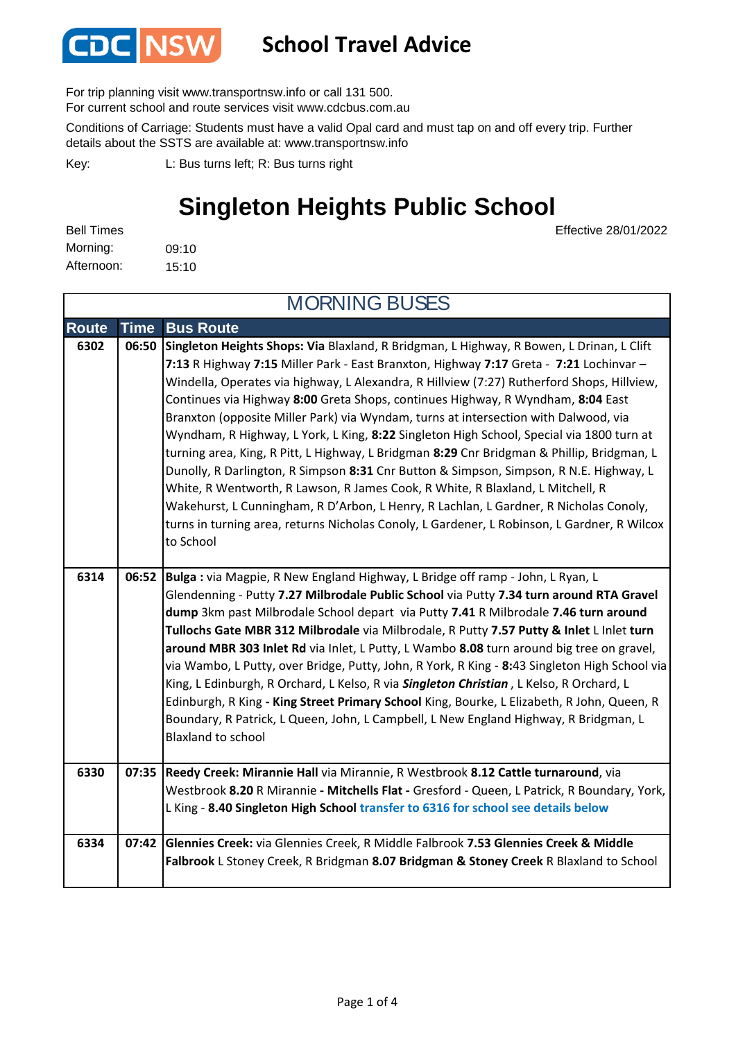

#### **School Travel Advice**

For trip planning visit www.transportnsw.info or call 131 500.

For current school and route services visit www.cdcbus.com.au

Conditions of Carriage: Students must have a valid Opal card and must tap on and off every trip. Further details about the SSTS are available at: www.transportnsw.info

L: Bus turns left; R: Bus turns right Key:

### **Singleton Heights Public School**

Effective 28/01/2022

| <b>Bell Times</b> |       |
|-------------------|-------|
| Morning:          | 09:10 |
| Afternoon:        | 15:10 |

**Route Time Bus Route 6302 06:50 Singleton Heights Shops: Via** Blaxland, R Bridgman, L Highway, R Bowen, L Drinan, L Clift **7:13** R Highway **7:15** Miller Park - East Branxton, Highway **7:17** Greta - **7:21** Lochinvar – Windella, Operates via highway, L Alexandra, R Hillview (7:27) Rutherford Shops, Hillview, Continues via Highway **8:00** Greta Shops, continues Highway, R Wyndham, **8:04** East Branxton (opposite Miller Park) via Wyndam, turns at intersection with Dalwood, via Wyndham, R Highway, L York, L King, **8:22** Singleton High School, Special via 1800 turn at turning area, King, R Pitt, L Highway, L Bridgman **8:29** Cnr Bridgman & Phillip, Bridgman, L Dunolly, R Darlington, R Simpson **8:31** Cnr Button & Simpson, Simpson, R N.E. Highway, L White, R Wentworth, R Lawson, R James Cook, R White, R Blaxland, L Mitchell, R Wakehurst, L Cunningham, R D'Arbon, L Henry, R Lachlan, L Gardner, R Nicholas Conoly, turns in turning area, returns Nicholas Conoly, L Gardener, L Robinson, L Gardner, R Wilcox to School **6314 06:52 Bulga :** via Magpie, R New England Highway, L Bridge off ramp - John, L Ryan, L Glendenning - Putty **7.27 Milbrodale Public School** via Putty **7.34 turn around RTA Gravel dump** 3km past Milbrodale School depart via Putty **7.41** R Milbrodale **7.46 turn around Tullochs Gate MBR 312 Milbrodale** via Milbrodale, R Putty **7.57 Putty & Inlet** L Inlet **turn around MBR 303 Inlet Rd** via Inlet, L Putty, L Wambo **8.08** turn around big tree on gravel, via Wambo, L Putty, over Bridge, Putty, John, R York, R King - **8:**43 Singleton High School via King, L Edinburgh, R Orchard, L Kelso, R via *Singleton Christian* , L Kelso, R Orchard, L Edinburgh, R King **- King Street Primary School** King, Bourke, L Elizabeth, R John, Queen, R Boundary, R Patrick, L Queen, John, L Campbell, L New England Highway, R Bridgman, L Blaxland to school **6330 07:35 Reedy Creek: Mirannie Hall** via Mirannie, R Westbrook **8.12 Cattle turnaround**, via Westbrook **8.20** R Mirannie **- Mitchells Flat -** Gresford - Queen, L Patrick, R Boundary, York, L King - **8.40 Singleton High School transfer to 6316 for school see details below 6334 07:42 Glennies Creek:** via Glennies Creek, R Middle Falbrook **7.53 Glennies Creek & Middle Falbrook** L Stoney Creek, R Bridgman **8.07 Bridgman & Stoney Creek** R Blaxland to School MORNING BUSES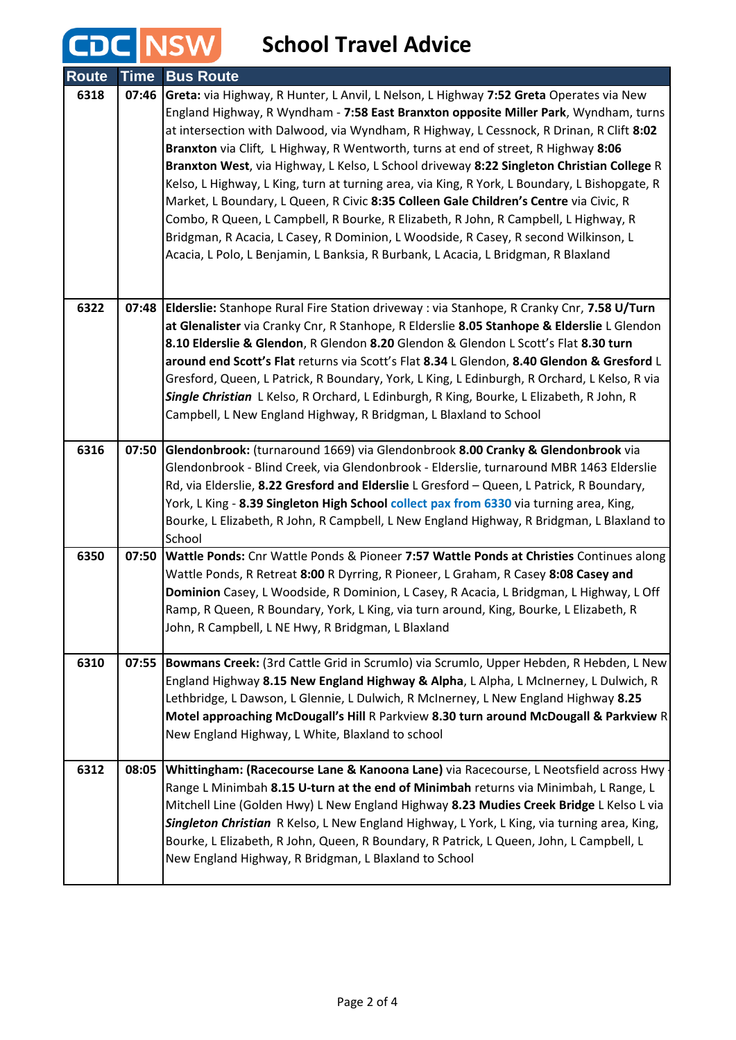#### **School Travel Advice**

**CDC NSW** 

| <b>Route</b> | <b>Time</b> | <b>Bus Route</b>                                                                                                                                                                                                                                                                                                                                                                                                                                                                                                                                                                                                                                                                                                                                                                                                                                                                                                            |
|--------------|-------------|-----------------------------------------------------------------------------------------------------------------------------------------------------------------------------------------------------------------------------------------------------------------------------------------------------------------------------------------------------------------------------------------------------------------------------------------------------------------------------------------------------------------------------------------------------------------------------------------------------------------------------------------------------------------------------------------------------------------------------------------------------------------------------------------------------------------------------------------------------------------------------------------------------------------------------|
| 6318         | 07:46       | Greta: via Highway, R Hunter, L Anvil, L Nelson, L Highway 7:52 Greta Operates via New<br>England Highway, R Wyndham - 7:58 East Branxton opposite Miller Park, Wyndham, turns<br>at intersection with Dalwood, via Wyndham, R Highway, L Cessnock, R Drinan, R Clift 8:02<br>Branxton via Clift, L Highway, R Wentworth, turns at end of street, R Highway 8:06<br>Branxton West, via Highway, L Kelso, L School driveway 8:22 Singleton Christian College R<br>Kelso, L Highway, L King, turn at turning area, via King, R York, L Boundary, L Bishopgate, R<br>Market, L Boundary, L Queen, R Civic 8:35 Colleen Gale Children's Centre via Civic, R<br>Combo, R Queen, L Campbell, R Bourke, R Elizabeth, R John, R Campbell, L Highway, R<br>Bridgman, R Acacia, L Casey, R Dominion, L Woodside, R Casey, R second Wilkinson, L<br>Acacia, L Polo, L Benjamin, L Banksia, R Burbank, L Acacia, L Bridgman, R Blaxland |
| 6322         |             | 07:48 Elderslie: Stanhope Rural Fire Station driveway : via Stanhope, R Cranky Cnr, 7.58 U/Turn<br>at Glenalister via Cranky Cnr, R Stanhope, R Elderslie 8.05 Stanhope & Elderslie L Glendon<br>8.10 Elderslie & Glendon, R Glendon 8.20 Glendon & Glendon L Scott's Flat 8.30 turn<br>around end Scott's Flat returns via Scott's Flat 8.34 L Glendon, 8.40 Glendon & Gresford L<br>Gresford, Queen, L Patrick, R Boundary, York, L King, L Edinburgh, R Orchard, L Kelso, R via<br>Single Christian L Kelso, R Orchard, L Edinburgh, R King, Bourke, L Elizabeth, R John, R<br>Campbell, L New England Highway, R Bridgman, L Blaxland to School                                                                                                                                                                                                                                                                         |
| 6316         | 07:50       | Glendonbrook: (turnaround 1669) via Glendonbrook 8.00 Cranky & Glendonbrook via<br>Glendonbrook - Blind Creek, via Glendonbrook - Elderslie, turnaround MBR 1463 Elderslie<br>Rd, via Elderslie, 8.22 Gresford and Elderslie L Gresford - Queen, L Patrick, R Boundary,<br>York, L King - 8.39 Singleton High School collect pax from 6330 via turning area, King,<br>Bourke, L Elizabeth, R John, R Campbell, L New England Highway, R Bridgman, L Blaxland to<br>School                                                                                                                                                                                                                                                                                                                                                                                                                                                   |
| 6350         | 07:50       | Wattle Ponds: Cnr Wattle Ponds & Pioneer 7:57 Wattle Ponds at Christies Continues along<br>Wattle Ponds, R Retreat 8:00 R Dyrring, R Pioneer, L Graham, R Casey 8:08 Casey and<br>Dominion Casey, L Woodside, R Dominion, L Casey, R Acacia, L Bridgman, L Highway, L Off<br>Ramp, R Queen, R Boundary, York, L King, via turn around, King, Bourke, L Elizabeth, R<br>John, R Campbell, L NE Hwy, R Bridgman, L Blaxland                                                                                                                                                                                                                                                                                                                                                                                                                                                                                                   |
| 6310         | 07:55       | Bowmans Creek: (3rd Cattle Grid in Scrumlo) via Scrumlo, Upper Hebden, R Hebden, L New<br>England Highway 8.15 New England Highway & Alpha, L Alpha, L McInerney, L Dulwich, R<br>Lethbridge, L Dawson, L Glennie, L Dulwich, R McInerney, L New England Highway 8.25<br>Motel approaching McDougall's Hill R Parkview 8.30 turn around McDougall & Parkview R<br>New England Highway, L White, Blaxland to school                                                                                                                                                                                                                                                                                                                                                                                                                                                                                                          |
| 6312         | 08:05       | Whittingham: (Racecourse Lane & Kanoona Lane) via Racecourse, L Neotsfield across Hwy<br>Range L Minimbah 8.15 U-turn at the end of Minimbah returns via Minimbah, L Range, L<br>Mitchell Line (Golden Hwy) L New England Highway 8.23 Mudies Creek Bridge L Kelso L via<br>Singleton Christian R Kelso, L New England Highway, L York, L King, via turning area, King,<br>Bourke, L Elizabeth, R John, Queen, R Boundary, R Patrick, L Queen, John, L Campbell, L<br>New England Highway, R Bridgman, L Blaxland to School                                                                                                                                                                                                                                                                                                                                                                                                 |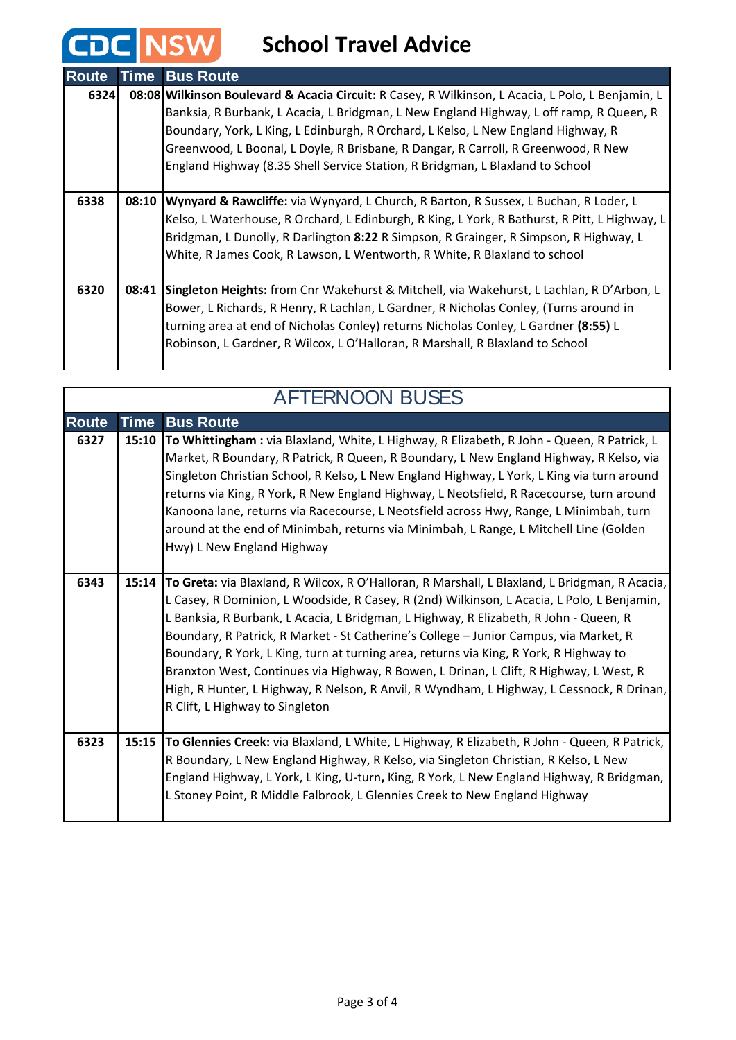## **CDC** NSW School Travel Advice

| <b>Route</b> | <b>Time</b> | <b>Bus Route</b>                                                                                    |
|--------------|-------------|-----------------------------------------------------------------------------------------------------|
| 6324         |             | 08:08   Wilkinson Boulevard & Acacia Circuit: R Casey, R Wilkinson, L Acacia, L Polo, L Benjamin, L |
|              |             | Banksia, R Burbank, L Acacia, L Bridgman, L New England Highway, L off ramp, R Queen, R             |
|              |             | Boundary, York, L King, L Edinburgh, R Orchard, L Kelso, L New England Highway, R                   |
|              |             | Greenwood, L Boonal, L Doyle, R Brisbane, R Dangar, R Carroll, R Greenwood, R New                   |
|              |             | England Highway (8.35 Shell Service Station, R Bridgman, L Blaxland to School                       |
|              |             |                                                                                                     |
| 6338         | 08:10       | Wynyard & Rawcliffe: via Wynyard, L Church, R Barton, R Sussex, L Buchan, R Loder, L                |
|              |             | Kelso, L Waterhouse, R Orchard, L Edinburgh, R King, L York, R Bathurst, R Pitt, L Highway, L       |
|              |             | Bridgman, L Dunolly, R Darlington 8:22 R Simpson, R Grainger, R Simpson, R Highway, L               |
|              |             | White, R James Cook, R Lawson, L Wentworth, R White, R Blaxland to school                           |
|              |             |                                                                                                     |
| 6320         | 08:41       | Singleton Heights: from Cnr Wakehurst & Mitchell, via Wakehurst, L Lachlan, R D'Arbon, L            |
|              |             | Bower, L Richards, R Henry, R Lachlan, L Gardner, R Nicholas Conley, (Turns around in               |
|              |             | turning area at end of Nicholas Conley) returns Nicholas Conley, L Gardner (8:55) L                 |
|              |             | Robinson, L Gardner, R Wilcox, L O'Halloran, R Marshall, R Blaxland to School                       |
|              |             |                                                                                                     |

| <b>AFTERNOON BUSES</b> |             |                                                                                                                                                                                                                                                                                                                                                                                                                                                                                                                                                                                                                                                                                                   |
|------------------------|-------------|---------------------------------------------------------------------------------------------------------------------------------------------------------------------------------------------------------------------------------------------------------------------------------------------------------------------------------------------------------------------------------------------------------------------------------------------------------------------------------------------------------------------------------------------------------------------------------------------------------------------------------------------------------------------------------------------------|
| <b>Route</b>           | <b>Time</b> | <b>Bus Route</b>                                                                                                                                                                                                                                                                                                                                                                                                                                                                                                                                                                                                                                                                                  |
| 6327                   | 15:10       | To Whittingham: via Blaxland, White, L Highway, R Elizabeth, R John - Queen, R Patrick, L<br>Market, R Boundary, R Patrick, R Queen, R Boundary, L New England Highway, R Kelso, via<br>Singleton Christian School, R Kelso, L New England Highway, L York, L King via turn around<br>returns via King, R York, R New England Highway, L Neotsfield, R Racecourse, turn around<br>Kanoona lane, returns via Racecourse, L Neotsfield across Hwy, Range, L Minimbah, turn<br>around at the end of Minimbah, returns via Minimbah, L Range, L Mitchell Line (Golden<br>Hwy) L New England Highway                                                                                                   |
| 6343                   | 15:14       | To Greta: via Blaxland, R Wilcox, R O'Halloran, R Marshall, L Blaxland, L Bridgman, R Acacia,<br>L Casey, R Dominion, L Woodside, R Casey, R (2nd) Wilkinson, L Acacia, L Polo, L Benjamin,<br>L Banksia, R Burbank, L Acacia, L Bridgman, L Highway, R Elizabeth, R John - Queen, R<br>Boundary, R Patrick, R Market - St Catherine's College - Junior Campus, via Market, R<br>Boundary, R York, L King, turn at turning area, returns via King, R York, R Highway to<br>Branxton West, Continues via Highway, R Bowen, L Drinan, L Clift, R Highway, L West, R<br>High, R Hunter, L Highway, R Nelson, R Anvil, R Wyndham, L Highway, L Cessnock, R Drinan,<br>R Clift, L Highway to Singleton |
| 6323                   | 15:15       | To Glennies Creek: via Blaxland, L White, L Highway, R Elizabeth, R John - Queen, R Patrick,<br>R Boundary, L New England Highway, R Kelso, via Singleton Christian, R Kelso, L New<br>England Highway, L York, L King, U-turn, King, R York, L New England Highway, R Bridgman,<br>L Stoney Point, R Middle Falbrook, L Glennies Creek to New England Highway                                                                                                                                                                                                                                                                                                                                    |